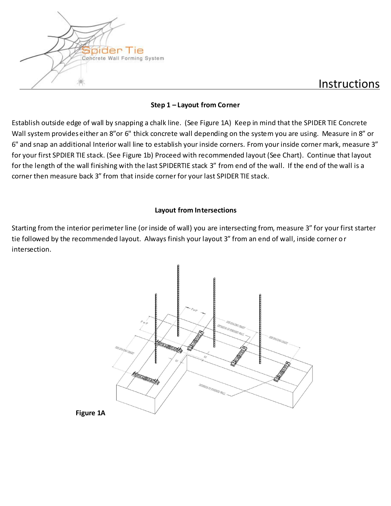

# Instructions

#### **Step 1 – Layout from Corner**

Establish outside edge of wall by snapping a chalk line. (See Figure 1A) Keep in mind that the SPIDER TIE Concrete Wall system provides either an 8"or 6" thick concrete wall depending on the system you are using. Measure in 8" or 6" and snap an additional Interior wall line to establish your inside corners. From your inside corner mark, measure 3" for your first SPDIER TIE stack. (See Figure 1b) Proceed with recommended layout (See Chart). Continue that layout for the length of the wall finishing with the last SPIDERTIE stack 3" from end of the wall. If the end of the wall is a corner then measure back 3" from that inside corner for your last SPIDER TIE stack.

#### **Layout from Intersections**

Starting from the interior perimeter line (or inside of wall) you are intersecting from, measure 3" for your first starter tie followed by the recommended layout. Always finish your layout 3" from an end of wall, inside corner or intersection.



**Figure 1A**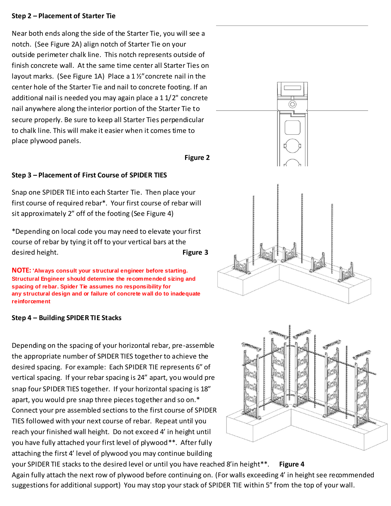#### **Step 2 – Placement of Starter Tie**

Near both ends along the side of the Starter Tie, you will see a notch. (See Figure 2A) align notch of Starter Tie on your outside perimeter chalk line. This notch represents outside of finish concrete wall. At the same time center all Starter Ties on layout marks. (See Figure 1A) Place a 1 ½"concrete nail in the center hole of the Starter Tie and nail to concrete footing. If an additional nail is needed you may again place a 1 1/2" concrete nail anywhere along the interior portion of the Starter Tie to secure properly. Be sure to keep all Starter Ties perpendicular to chalk line. This will make it easier when it comes time to place plywood panels.

#### **Figure 2**

# **Step 3 – Placement of First Course of SPIDER TIES**

Snap one SPIDER TIE into each Starter Tie. Then place your first course of required rebar\*. Your first course of rebar will sit approximately 2" off of the footing (See Figure 4)

\*Depending on local code you may need to elevate your first course of rebar by tying it off to your vertical bars at the desired height. **Figure 3**

**NOTE: 'Always consult your structural engineer before starting. Structural Engineer should determine the recommended sizing and spacing of rebar. Spider Tie assumes no responsibility for any structural design and or failure of concrete wall do to inadequate reinforcement**

#### **Step 4 – Building SPIDER TIE Stacks**

Depending on the spacing of your horizontal rebar, pre-assemble the appropriate number of SPIDER TIES together to achieve the desired spacing. For example: Each SPIDER TIE represents 6" of vertical spacing. If your rebar spacing is 24" apart, you would pre snap four SPIDER TIES together. If your horizontal spacing is 18" apart, you would pre snap three pieces together and so on.\* Connect your pre assembled sections to the first course of SPIDER TIES followed with your next course of rebar. Repeat until you reach your finished wall height. Do not exceed 4' in height until you have fully attached your first level of plywood\*\*. After fully attaching the first 4' level of plywood you may continue building





your SPIDER TIE stacks to the desired level or until you have reached 8'in height\*\*. **Figure 4**  Again fully attach the next row of plywood before continuing on. (For walls exceeding 4' in height see recommended suggestions for additional support) You may stop your stack of SPIDER TIE within 5" from the top of your wall.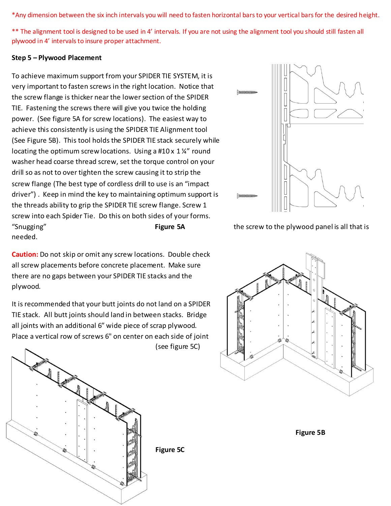\*Any dimension between the six inch intervals you will need to fasten horizontal bars to your vertical bars for the desired height.

\*\* The alignment tool is designed to be used in 4' intervals. If you are not using the alignment tool you should still fasten all plywood in 4' intervals to insure proper attachment.

#### **Step 5 – Plywood Placement**

To achieve maximum support from your SPIDER TIE SYSTEM, it is very important to fasten screws in the right location. Notice that the screw flange is thicker near the lower section of the SPIDER TIE. Fastening the screws there will give you twice the holding power. (See figure 5A for screw locations). The easiest way to achieve this consistently is using the SPIDER TIE Alignment tool (See Figure 5B). This tool holds the SPIDER TIE stack securely while locating the optimum screw locations. Using a #10 x 1 %" round washer head coarse thread screw, set the torque control on your drill so as not to over tighten the screw causing it to strip the screw flange (The best type of cordless drill to use is an "impact driver") . Keep in mind the key to maintaining optimum support is the threads ability to grip the SPIDER TIE screw flange. Screw 1 screw into each Spider Tie. Do this on both sides of your forms. "Snugging" **Figure 5A** the screw to the plywood panel is all that is needed.

**Caution:** Do not skip or omit any screw locations. Double check all screw placements before concrete placement. Make sure there are no gaps between your SPIDER TIE stacks and the plywood.

It is recommended that your butt joints do not land on a SPIDER TIE stack. All butt joints should land in between stacks. Bridge all joints with an additional 6" wide piece of scrap plywood. Place a vertical row of screws 6" on center on each side of joint (see figure 5C)







 **Figure 5B**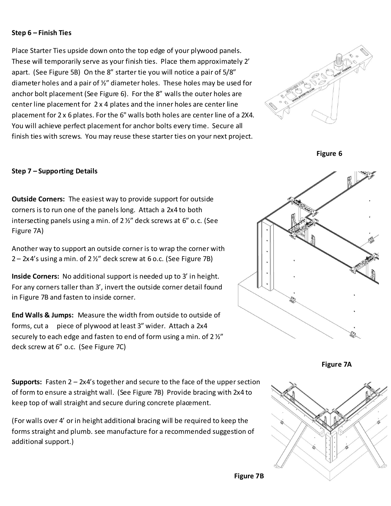#### **Step 6 – Finish Ties**

Place Starter Ties upside down onto the top edge of your plywood panels. These will temporarily serve as your finish ties. Place them approximately 2' apart. (See Figure 5B) On the 8" starter tie you will notice a pair of 5/8" diameter holes and a pair of ½" diameter holes. These holes may be used for anchor bolt placement (See Figure 6). For the 8" walls the outer holes are center line placement for 2 x 4 plates and the inner holes are center line placement for 2 x 6 plates. For the 6" walls both holes are center line of a 2X4. You will achieve perfect placement for anchor bolts every time. Secure all finish ties with screws. You may reuse these starter ties on your next project.



**Figure 6**

# **Step 7 – Supporting Details**

**Outside Corners:** The easiest way to provide support for outside corners is to run one of the panels long. Attach a 2x4 to both intersecting panels using a min. of 2 ½" deck screws at 6" o.c. (See Figure 7A)

Another way to support an outside corner is to wrap the corner with  $2 - 2x4$ 's using a min. of 2 $\frac{1}{2}$ " deck screw at 6 o.c. (See Figure 7B)

**Inside Corners:** No additional support is needed up to 3' in height. For any corners taller than 3', invert the outside corner detail found in Figure 7B and fasten to inside corner.

**End Walls & Jumps:** Measure the width from outside to outside of forms, cut a piece of plywood at least 3" wider. Attach a 2x4 securely to each edge and fasten to end of form using a min. of  $2\frac{1}{2}$ deck screw at 6" o.c. (See Figure 7C)

**Supports:** Fasten 2 – 2x4's together and secure to the face of the upper section of form to ensure a straight wall. (See Figure 7B) Provide bracing with 2x4 to keep top of wall straight and secure during concrete placement.

(For walls over 4' or in height additional bracing will be required to keep the forms straight and plumb. see manufacture for a recommended suggestion of additional support.)



**Figure 7A**

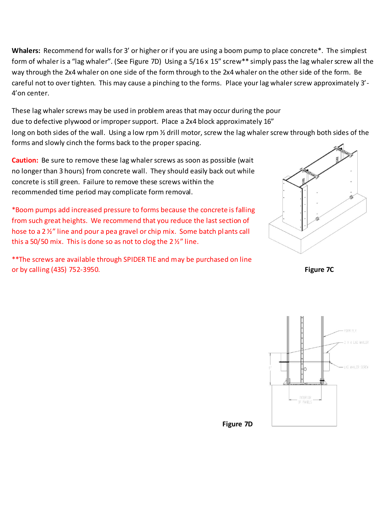**Whalers:** Recommend for walls for 3' or higher or if you are using a boom pump to place concrete\*. The simplest form of whaler is a "lag whaler". (See Figure 7D) Using a 5/16 x 15" screw\*\* simply pass the lag whaler screw all the way through the 2x4 whaler on one side of the form through to the 2x4 whaler on the other side of the form. Be careful not to over tighten. This may cause a pinching to the forms. Place your lag whaler screw approximately 3'- 4'on center.

These lag whaler screws may be used in problem areas that may occur during the pour due to defective plywood or improper support. Place a 2x4 block approximately 16" long on both sides of the wall. Using a low rpm 1/2 drill motor, screw the lag whaler screw through both sides of the forms and slowly cinch the forms back to the proper spacing.

**Caution:** Be sure to remove these lag whaler screws as soon as possible (wait no longer than 3 hours) from concrete wall. They should easily back out while concrete is still green. Failure to remove these screws within the recommended time period may complicate form removal.

\*Boom pumps add increased pressure to forms because the concrete is falling from such great heights. We recommend that you reduce the last section of hose to a 2 ½" line and pour a pea gravel or chip mix. Some batch plants call this a 50/50 mix. This is done so as not to clog the  $2\frac{1}{2}$  line.

\*\*The screws are available through SPIDER TIE and may be purchased on line or by calling (435) 752-3950. **Figure 7C**





 **Figure 7D**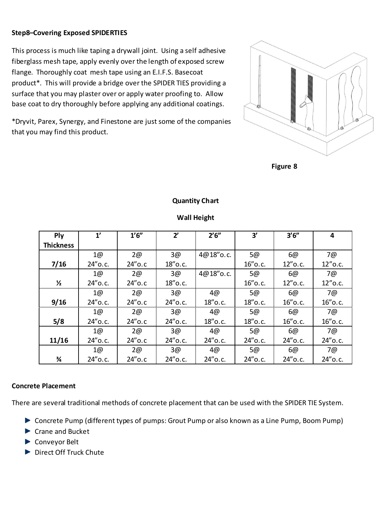# **Step8–Covering Exposed SPIDERTIES**

This process is much like taping a drywall joint. Using a self adhesive fiberglass mesh tape, apply evenly over the length of exposed screw flange. Thoroughly coat mesh tape using an E.I.F.S. Basecoat product\*. This will provide a bridge over the SPIDER TIES providing a surface that you may plaster over or apply water proofing to. Allow base coat to dry thoroughly before applying any additional coatings.

\*Dryvit, Parex, Synergy, and Finestone are just some of the companies that you may find this product.



 **Figure 8**

# **Quantity Chart**

| Ply              | 1'         | 1'6''     | $2^{\prime}$ | 2'6''      | 3'         | 3'6''      | 4          |
|------------------|------------|-----------|--------------|------------|------------|------------|------------|
| <b>Thickness</b> |            |           |              |            |            |            |            |
|                  | 1@         | 2@        | 3@           | 4@18" o.c. | 5@         | 6@         | 7@         |
| 7/16             | 24" o.c.   | $24"$ o.c | 18" o.c.     |            | $16"$ o.c. | $12"$ o.c. | $12"$ o.c. |
|                  | 1@         | 2@        | 3@           | 4@18" o.c. | 5@         | 6@         | 7@         |
| $\frac{1}{2}$    | 24" o.c.   | $24"$ o.c | 18" o.c.     |            | $16"$ o.c. | $12"$ o.c. | $12"$ o.c. |
|                  | 1@         | 2@        | 3@           | 4@         | 5@         | 6@         | 7@         |
| 9/16             | 24" o.c.   | $24"$ o.c | 24" o.c.     | $18"$ o.c. | 18" o.c.   | $16"$ o.c. | $16"$ o.c. |
|                  | 1@         | 2@        | 3@           | 4@         | 5@         | 6@         | 7@         |
| 5/8              | 24" o.c.   | $24"$ o.c | 24" o.c.     | $18"$ o.c. | $18"$ o.c. | $16"$ o.c. | $16"$ o.c. |
|                  | 1@         | 2@        | 3@           | 4@         | 5@         | 6@         | 7@         |
| 11/16            | $24"$ o.c. | $24"$ o.c | 24" o.c.     | $24"$ o.c. | 24" o.c.   | 24" o.c.   | 24" o.c.   |
|                  | 1@         | 2@        | 3@           | 4@         | 5@         | 6@         | 7@         |
| ¾                | 24" o.c.   | $24"$ o.c | 24" o.c.     | 24" o.c.   | 24" o.c.   | $24"$ o.c. | 24" o.c.   |

#### **Wall Height**

#### **Concrete Placement**

There are several traditional methods of concrete placement that can be used with the SPIDER TIE System.

- ▶ Concrete Pump (different types of pumps: Grout Pump or also known as a Line Pump, Boom Pump)
- ▶ Crane and Bucket
- ▶ Conveyor Belt
- Direct Off Truck Chute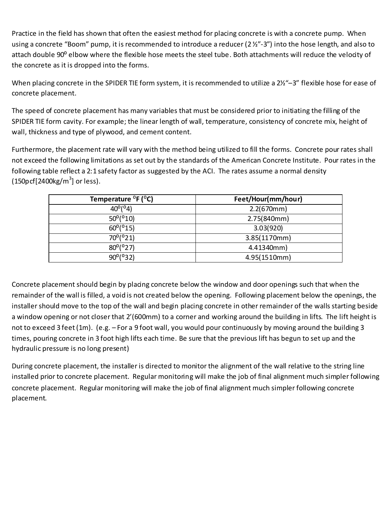Practice in the field has shown that often the easiest method for placing concrete is with a concrete pump. When using a concrete "Boom" pump, it is recommended to introduce a reducer (2 %"-3") into the hose length, and also to attach double 90° elbow where the flexible hose meets the steel tube. Both attachments will reduce the velocity of the concrete as it is dropped into the forms.

When placing concrete in the SPIDER TIE form system, it is recommended to utilize a 2½"-3" flexible hose for ease of concrete placement.

The speed of concrete placement has many variables that must be considered prior to initiating the filling of the SPIDER TIE form cavity. For example; the linear length of wall, temperature, consistency of concrete mix, height of wall, thickness and type of plywood, and cement content.

Furthermore, the placement rate will vary with the method being utilized to fill the forms. Concrete pour rates shall not exceed the following limitations as set out by the standards of the American Concrete Institute. Pour rates in the following table reflect a 2:1 safety factor as suggested by the ACI. The rates assume a normal density  $(150p\,cf[2400kg/m^3]$  or less).

| Temperature ${}^{\circ}$ F ( ${}^{\circ}$ C) | Feet/Hour(mm/hour) |
|----------------------------------------------|--------------------|
| $40^{\circ}$ ( $^{\circ}4$ )                 | 2.2(670mm)         |
| $50^{\circ}$ ( $^{\circ}10$ )                | 2.75(840mm)        |
| $60^{\circ}$ ( $^{\circ}$ 15)                | 3.03(920)          |
| $70^{\circ}$ ( $^{\circ}21$ )                | 3.85(1170mm)       |
| $80^{\circ}$ (°27)                           | 4.41340mm)         |
| $90^{\circ}$ ( $932$ )                       | 4.95(1510mm)       |

Concrete placement should begin by placing concrete below the window and door openings such that when the remainder of the wall is filled, a void is not created below the opening. Following placement below the openings, the installer should move to the top of the wall and begin placing concrete in other remainder of the walls starting beside a window opening or not closer that 2'(600mm) to a corner and working around the building in lifts. The lift height is not to exceed 3 feet (1m). (e.g. – For a 9 foot wall, you would pour continuously by moving around the building 3 times, pouring concrete in 3 foot high lifts each time. Be sure that the previous lift has begun to set up and the hydraulic pressure is no long present)

During concrete placement, the installer is directed to monitor the alignment of the wall relative to the string line installed prior to concrete placement. Regular monitoring will make the job of final alignment much simpler following concrete placement. Regular monitoring will make the job of final alignment much simpler following concrete placement.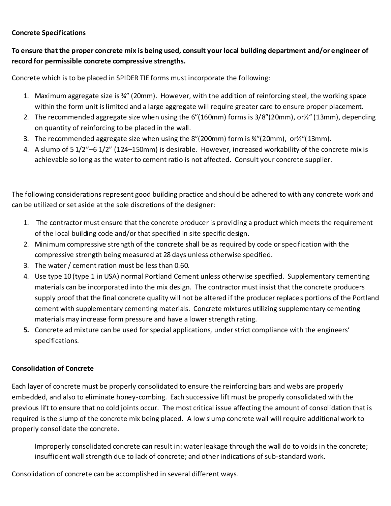# **Concrete Specifications**

# **To ensure that the proper concrete mix is being used, consult your local building department and/or engineer of record for permissible concrete compressive strengths.**

Concrete which is to be placed in SPIDER TIE forms must incorporate the following:

- 1. Maximum aggregate size is ¾" (20mm). However, with the addition of reinforcing steel, the working space within the form unit is limited and a large aggregate will require greater care to ensure proper placement.
- 2. The recommended aggregate size when using the 6"(160mm) forms is 3/8"(20mm), or½" (13mm), depending on quantity of reinforcing to be placed in the wall.
- 3. The recommended aggregate size when using the 8"(200mm) form is ¾"(20mm), or½"(13mm).
- 4. A slump of 5 1/2"–6 1/2" (124–150mm) is desirable. However, increased workability of the concrete mix is achievable so long as the water to cement ratio is not affected. Consult your concrete supplier.

The following considerations represent good building practice and should be adhered to with any concrete work and can be utilized or set aside at the sole discretions of the designer:

- 1. The contractor must ensure that the concrete producer is providing a product which meets the requirement of the local building code and/or that specified in site specific design.
- 2. Minimum compressive strength of the concrete shall be as required by code or specification with the compressive strength being measured at 28 days unless otherwise specified.
- 3. The water / cement ration must be less than 0.60.
- 4. Use type 10 (type 1 in USA) normal Portland Cement unless otherwise specified. Supplementary cementing materials can be incorporated into the mix design. The contractor must insist that the concrete producers supply proof that the final concrete quality will not be altered if the producer replace s portions of the Portland cement with supplementary cementing materials. Concrete mixtures utilizing supplementary cementing materials may increase form pressure and have a lower strength rating.
- **5.** Concrete ad mixture can be used for special applications, under strict compliance with the engineers' specifications.

# **Consolidation of Concrete**

Each layer of concrete must be properly consolidated to ensure the reinforcing bars and webs are properly embedded, and also to eliminate honey-combing. Each successive lift must be properly consolidated with the previous lift to ensure that no cold joints occur. The most critical issue affecting the amount of consolidation that is required is the slump of the concrete mix being placed. A low slump concrete wall will require additional work to properly consolidate the concrete.

Improperly consolidated concrete can result in: water leakage through the wall do to voids in the concrete; insufficient wall strength due to lack of concrete; and other indications of sub-standard work.

Consolidation of concrete can be accomplished in several different ways.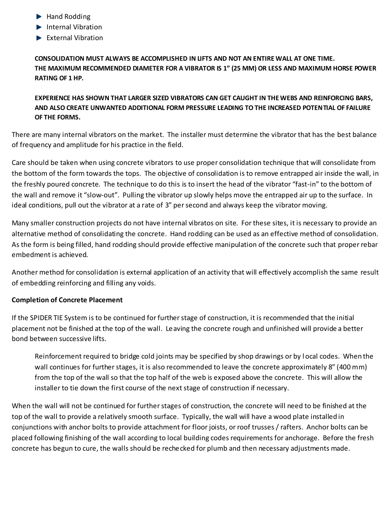- Hand Rodding
- **Internal Vibration**
- $\blacktriangleright$  External Vibration

**CONSOLIDATION MUST ALWAYS BE ACCOMPLISHED IN LIFTS AND NOT AN ENTIRE WALL AT ONE TIME. THE MAXIMUM RECOMMENDED DIAMETER FOR A VIBRATOR IS 1" (25 MM) OR LESS AND MAXIMUM HORSE POWER RATING OF 1 HP.**

# **EXPERIENCE HAS SHOWN THAT LARGER SIZED VIBRATORS CAN GET CAUGHT IN THE WEBS AND REINFORCING BARS, AND ALSO CREATE UNWANTED ADDITIONAL FORM PRESSURE LEADING TO THE INCREASED POTENTIAL OF FAILURE OF THE FORMS.**

There are many internal vibrators on the market. The installer must determine the vibrator that has the best balance of frequency and amplitude for his practice in the field.

Care should be taken when using concrete vibrators to use proper consolidation technique that will consolidate from the bottom of the form towards the tops. The objective of consolidation is to remove entrapped air inside the wall, in the freshly poured concrete. The technique to do this is to insert the head of the vibrator "fast-in" to the bottom of the wall and remove it "slow-out". Pulling the vibrator up slowly helps move the entrapped air up to the surface. In ideal conditions, pull out the vibrator at a rate of 3" per second and always keep the vibrator moving.

Many smaller construction projects do not have internal vibratos on site. For these sites, it is necessary to provide an alternative method of consolidating the concrete. Hand rodding can be used as an effective method of consolidation. As the form is being filled, hand rodding should provide effective manipulation of the concrete such that proper rebar embedment is achieved.

Another method for consolidation is external application of an activity that will effectively accomplish the same result of embedding reinforcing and filling any voids.

# **Completion of Concrete Placement**

If the SPIDER TIE System is to be continued for further stage of construction, it is recommended that the initial placement not be finished at the top of the wall. Leaving the concrete rough and unfinished will provide a better bond between successive lifts.

Reinforcement required to bridge cold joints may be specified by shop drawings or by l ocal codes. When the wall continues for further stages, it is also recommended to leave the concrete approximately 8" (400 mm) from the top of the wall so that the top half of the web is exposed above the concrete. This will allow the installer to tie down the first course of the next stage of construction if necessary.

When the wall will not be continued for further stages of construction, the concrete will need to be finished at the top of the wall to provide a relatively smooth surface. Typically, the wall will have a wood plate installed in conjunctions with anchor bolts to provide attachment for floor joists, or roof trusses / rafters. Anchor bolts can be placed following finishing of the wall according to local building codes requirements for anchorage. Before the fresh concrete has begun to cure, the walls should be rechecked for plumb and then necessary adjustments made.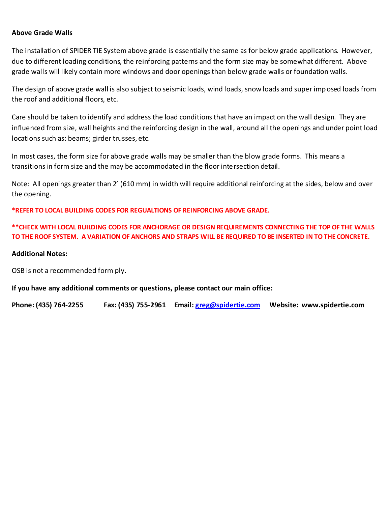#### **Above Grade Walls**

The installation of SPIDER TIE System above grade is essentially the same as for below grade applications. However, due to different loading conditions, the reinforcing patterns and the form size may be somewhat different. Above grade walls will likely contain more windows and door openings than below grade walls or foundation walls.

The design of above grade wall is also subject to seismic loads, wind loads, snow loads and super imposed loads from the roof and additional floors, etc.

Care should be taken to identify and address the load conditions that have an impact on the wall design. They are influenced from size, wall heights and the reinforcing design in the wall, around all the openings and under point load locations such as: beams; girder trusses, etc.

In most cases, the form size for above grade walls may be smaller than the blow grade forms. This means a transitions in form size and the may be accommodated in the floor intersection detail.

Note: All openings greater than 2' (610 mm) in width will require additional reinforcing at the sides, below and over the opening.

**\*REFER TO LOCAL BUILDING CODES FOR REGUALTIONS OF REINFORCING ABOVE GRADE.**

**\*\*CHECK WITH LOCAL BUILDING CODES FOR ANCHORAGE OR DESIGN REQUIREMENTS CONNECTING THE TOP OF THE WALLS TO THE ROOF SYSTEM. A VARIATION OF ANCHORS AND STRAPS WILL BE REQUIRED TO BE INSERTED IN TO THE CONCRETE.**

#### **Additional Notes:**

OSB is not a recommended form ply.

**If you have any additional comments or questions, please contact our main office:**

**Phone: (435) 764-2255 Fax: (435) 755-2961 Email: [greg@spidertie.com](mailto:greg@spidertie.com) Website: www.spidertie.com**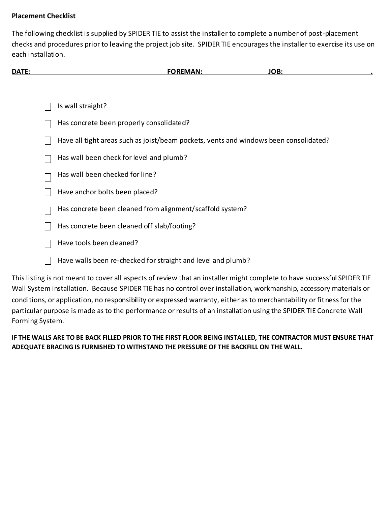# **Placement Checklist**

The following checklist is supplied by SPIDER TIE to assist the installer to complete a number of post-placement checks and procedures prior to leaving the project job site. SPIDER TIE encourages the installer to exercise its use on each installation.

| <b>DATE:</b> | <b>FOREMAN:</b> | ---<br>- |  |
|--------------|-----------------|----------|--|
|              |                 |          |  |
|              |                 |          |  |

- Is wall straight?
- Has concrete been properly consolidated?
- Have all tight areas such as joist/beam pockets, vents and windows been consolidated?
- Has wall been check for level and plumb?
- Has wall been checked for line?
- $\vert \vert$ Have anchor bolts been placed?
- Has concrete been cleaned from alignment/scaffold system?
- Has concrete been cleaned off slab/footing?  $\perp$
- Have tools been cleaned?
- П Have walls been re-checked for straight and level and plumb?

This listing is not meant to cover all aspects of review that an installer might complete to have successful SPIDER TIE Wall System installation. Because SPIDER TIE has no control over installation, workmanship, accessory materials or conditions, or application, no responsibility or expressed warranty, either as to merchantability or fitness for the particular purpose is made as to the performance or results of an installation using the SPIDER TIE Concrete Wall Forming System.

**IF THE WALLS ARE TO BE BACK FILLED PRIOR TO THE FIRST FLOOR BEING INSTALLED, THE CONTRACTOR MUST ENSURE THAT ADEQUATE BRACING IS FURNISHED TO WITHSTAND THE PRESSURE OF THE BACKFILL ON THE WALL.**